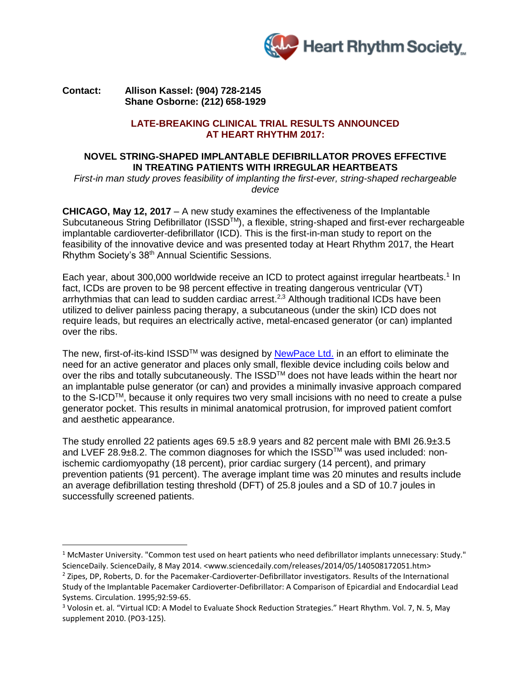

### **Contact: Allison Kassel: (904) 728-2145 Shane Osborne: (212) 658-1929**

 $\overline{\phantom{a}}$ 

#### **LATE-BREAKING CLINICAL TRIAL RESULTS ANNOUNCED AT HEART RHYTHM 2017:**

# **NOVEL STRING-SHAPED IMPLANTABLE DEFIBRILLATOR PROVES EFFECTIVE IN TREATING PATIENTS WITH IRREGULAR HEARTBEATS**

*First-in man study proves feasibility of implanting the first-ever, string-shaped rechargeable device*

**CHICAGO, May 12, 2017** – A new study examines the effectiveness of the Implantable Subcutaneous String Defibrillator (ISSD<sup>™</sup>), a flexible, string-shaped and first-ever rechargeable implantable cardioverter-defibrillator (ICD). This is the first-in-man study to report on the feasibility of the innovative device and was presented today at Heart Rhythm 2017, the Heart Rhythm Society's 38th Annual Scientific Sessions.

Each year, about 300,000 worldwide receive an ICD to protect against irregular heartbeats.<sup>1</sup> In fact, ICDs are proven to be 98 percent effective in treating dangerous ventricular (VT) arrhythmias that can lead to sudden cardiac arrest.<sup>2,3</sup> Although traditional ICDs have been utilized to deliver painless pacing therapy, a subcutaneous (under the skin) ICD does not require leads, but requires an electrically active, metal-encased generator (or can) implanted over the ribs.

The new, first-of-its-kind ISSD<sup>™</sup> was designed by [NewPace](https://www.newpacemedical.com/) Ltd. in an effort to eliminate the need for an active generator and places only small, flexible device including coils below and over the ribs and totally subcutaneously. The ISSD™ does not have leads within the heart nor an implantable pulse generator (or can) and provides a minimally invasive approach compared to the S-ICDTM, because it only requires two very small incisions with no need to create a pulse generator pocket. This results in minimal anatomical protrusion, for improved patient comfort and aesthetic appearance.

The study enrolled 22 patients ages 69.5 ±8.9 years and 82 percent male with BMI 26.9±3.5 and LVEF 28.9±8.2. The common diagnoses for which the ISSD™ was used included: nonischemic cardiomyopathy (18 percent), prior cardiac surgery (14 percent), and primary prevention patients (91 percent). The average implant time was 20 minutes and results include an average defibrillation testing threshold (DFT) of 25.8 joules and a SD of 10.7 joules in successfully screened patients.

 $1$  McMaster University. "Common test used on heart patients who need defibrillator implants unnecessary: Study." ScienceDaily. ScienceDaily, 8 May 2014. <www.sciencedaily.com/releases/2014/05/140508172051.htm>

<sup>&</sup>lt;sup>2</sup> Zipes, DP, Roberts, D. for the Pacemaker-Cardioverter-Defibrillator investigators. Results of the International Study of the Implantable Pacemaker Cardioverter-Defibrillator: A Comparison of Epicardial and Endocardial Lead Systems. Circulation. 1995;92:59-65.

<sup>&</sup>lt;sup>3</sup> Volosin et. al. "Virtual ICD: A Model to Evaluate Shock Reduction Strategies." Heart Rhythm. Vol. 7, N. 5, May supplement 2010. (PO3-125).